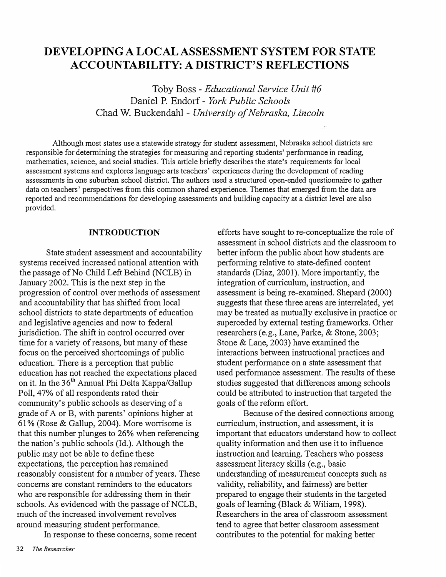# **DEVELOPING A LOCAL ASSESSMENT SYSTEM FOR STATE ACCOUNTABILITY: A DISTRICT'S REFLECTIONS**

Toby Boss - *Educational Service Unit #6*  Daniel P. Endorf - *York Public Schools*  Chad W. Buckendahl - *University of Nebraska, Lincoln* 

Although most states use a statewide strategy for student assessment, Nebraska school districts are responsible for determining the strategies for measuring and reporting students' performance in reading, mathematics, science, and social studies. This article briefly describes the state's requirements for local assessment systems and explores language arts teachers' experiences during the development of reading assessments in one suburban school district. The authors used a structured open-ended questionnaire to gather data on teachers' perspectives from this common shared experience. Themes that emerged from the data are reported and recommendations for developing assessments and building capacity at a district level are also provided.

### **INTRODUCTION**

State student assessment and accountability systems received increased national attention with the passage of No Child Left Behind (NCLB) in January 2002. This is the next step in the progression of control over methods of assessment and accountability that has shifted from local school districts to state departments of education and legislative agencies and now to federal jurisdiction. The shift in control occurred over time for a variety of reasons, but many of these focus on the perceived shortcomings of public education. There is a perception that public education has not reached the expectations placed on it. In the 36<sup>th</sup> Annual Phi Delta Kappa/Gallup Poll, 47% of all respondents rated their community's public schools as deserving of a grade of A or B, with parents' opinions higher at 61 % (Rose & Gallup, 2004). More worrisome is that this number plunges to 26% when referencing the nation's public schools (Id.). Although the public may not be able to define these expectations, the perception has remained reasonably consistent for a number of years. These concerns are constant reminders to the educators who are responsible for addressing them in their schools. As evidenced with the passage of NCLB, much of the increased involvement revolves around measuring student performance.

In response to these concerns, some recent

efforts have sought to re-conceptualize the role of assessment in school districts and the classroom to better inform the public about how students are performing relative to state-defined content standards (Diaz, 2001). More importantly, the integration of curriculum, instruction, and assessment is being re-examined. Shepard (2000) suggests that these three areas are interrelated, yet may be treated as mutually exclusive in practice or superceded by external testing frameworks. Other researchers (e.g., Lane, Parke, & Stone, 2003; Stone & Lane, 2003) have examined the interactions between instructional practices and student performance on a state assessment that used performance assessment. The results of these studies suggested that differences among schools could be attributed to instruction that targeted the goals of the reform effort.

Because of the desired connections among curriculum, instruction, and assessment, it is important that educators understand how to collect quality information and then use it to influence instruction and learning. Teachers who possess assessment literacy skills (e.g., basic understanding of measurement concepts such as validity, reliability, and fairness) are better prepared to engage their students in the targeted goals of leaming (Black & Wiliam, 1998). Researchers in the area of classroom assessment tend to agree that better classroom assessment contributes to the potential for making better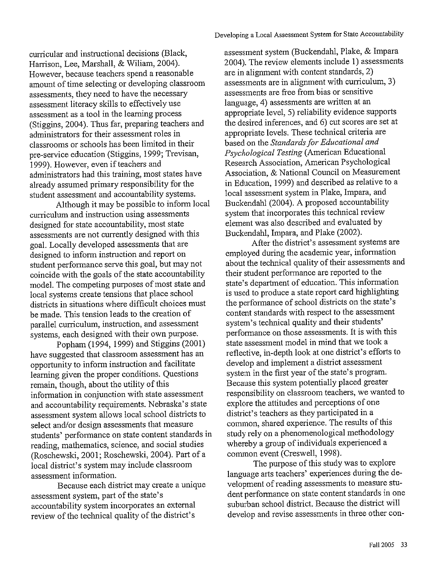curricular and instructional decisions (Black, Harrison, Lee, Marshall, & Wiliam, 2004). However, because teachers spend a reasonable amount of time selecting or developing classroom assessments, they need to have the necessary assessment literacy skills to effectively use assessment as a tool in the learning process (Stiggins, 2004). Thus far, preparing teachers and administrators for their assessment roles in classrooms or schools has been limited in their pre-service education (Stiggins, 1999; Trevisan, 1999). However, even if teachers and administrators had this training, most states have already assumed primary responsibility for the student assessment and accountability systems.

Although it may be possible to inform local curriculum and instruction using assessments designed for state accountability, most state assessments are not currently designed with this goal. Locally developed assessments that are designed to inform instruction and report on student performance serve this goal, but may not coincide with the goals of the state accountability model. The competing purposes of most state and local systems create tensions that place school districts in situations where difficult choices must be made. This tension leads to the creation of parallel curriculum, instruction, and assessment systems, each designed with their own purpose.

Popham (1994, 1999) and Stiggins (2001) have suggested that classroom assessment has an opportunity to inform instruction and facilitate learning given the proper conditions. Questions remain, though, about the utility of this information in conjunction with state assessment and accountability requirements. Nebraska's state assessment system allows local school districts to select and/or design assessments that measure students' performance on state content standards in reading, mathematics, science, and social studies (Roschewski, 2001; Roschewski, 2004). Part of a local district's system may include classroom assessment information.

Because each district may create a unique assessment system, part of the state's accountability system incorporates an external review of the technical quality of the district's

assessment system (Buckendahl, Plake, & Impara 2004). The review elements include 1) assessments are in alignment with content standards, 2) assessments are in alignment with curriculum, 3) assessments are free from bias or sensitive language, 4) assessments are written at an appropriate level, 5) reliability evidence supports the desired inferences, and 6) cut scores are set at appropriate levels. These technical criteria are based on the Standards for Educational and Psychological Testing (American Educational Research Association, American Psychological Association, & National Council on Measurement in Education, 1999) and described as relative to a local assessment system in Plake, Impara, and Buckendahl (2004). A proposed accountability system that incorporates this technical review element was also described and evaluated by Buckendahl, Impara, and Plake (2002).

After the district's assessment systems are employed during the academic year, information about the technical quality of their assessments and their student performance are reported to the state's department of education. This information is used to produce a state report card highlighting the performance of school districts on the state's content standards with respect to the assessment system's technical quality and their students' performance on those assessments. It is with this state assessment model in mind that we took a reflective, in-depth look at one district's efforts to develop and implement a district assessment system in the first year of the state's program. Because this system potentially placed greater responsibility on classroom teachers, we wanted to explore the attitudes and perceptions of one district's teachers as they participated in a common, shared experience. The results of this study rely on a phenomenological methodology whereby a group of individuals experienced a common event (Creswell, 1998).

The purpose of this study was to explore language arts teachers' experiences during the development of reading assessments to measure student performance on state content standards in one suburban school district. Because the district will develop and revise assessments in three other con-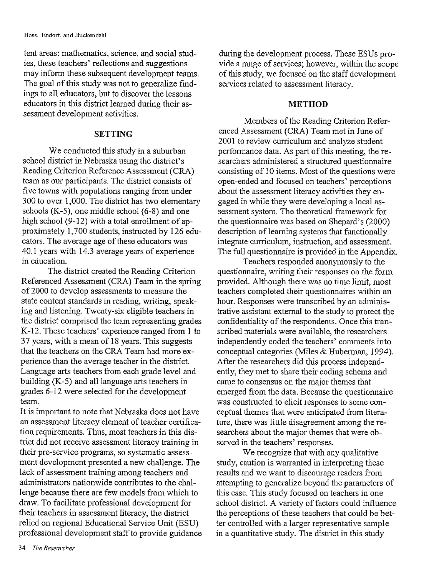tent areas: mathematics, science, and social studies, these teachers' reflections and suggestions may inform these subsequent development teams. The goal of this study was not to generalize findings to all educators, but to discover the lessons educators in this district learned during their assessment development activities.

### **SETTING**

We conducted this study in a suburban school district in Nebraska using the district's Reading Criterion Reference Assessment (CRA) team as our participants. The district consists of five towns with populations ranging from under 300 to over 1,000. The district has two elementary schools (K-5), one middle school (6-8) and one high school (9-12) with a total enrollment of approximately 1,700 students, instructed by 126 educators. The average age of these educators was 40.1 years with 14.3 average years of experience in education.

The district created the Reading Criterion Referenced Assessment (CRA) Team in the spring of 2000 to develop assessments to measure the state content standards in reading, writing, speaking and listening. Twenty-six eligible teachers in the district comprised the team representing grades K-12. These teachers' experience ranged from 1 to 37 years, with a mean of 18 years. This suggests that the teachers on the CRA Team had more experience than the average teacher in the district. Language arts teachers from each grade level and building (K-5) and all language arts teachers in grades 6-12 were selected for the development team.

It is important to note that Nebraska does not have an assessment literacy element of teacher certification requirements. Thus, most teachers in this district did not receive assessment literacy training in their pre-service programs, so systematic assessment development presented a new challenge. The lack of assessment training among teachers and administrators nationwide contributes to the challenge because there are few models from which to draw. To facilitate professional development for their teachers in assessment literacy, the district relied on regional Educational Service Unit (ESU) professional development staff to provide guidance

during the development process. These ESUs provide a range of services; however, within the scope of this study, we focused on the staff development services related to assessment literacy.

### **METHOD**

Members of the Reading Criterion Referenced Assessment (CRA) Team met in June of 2001 to review curriculum and analyze student performance data. As part of this meeting, the researchers administered a structured questionnaire consisting of 10 items. Most of the questions were open-ended and focused on teachers' perceptions about the assessment literacy activities they engaged in while they were developing a local assessment system. The theoretical framework for the questionnaire was based on Shepard's (2000) description of learning systems that functionally integrate curriculum, instruction, and assessment. The full questionnaire is provided in the Appendix.

Teachers responded anonymously to the questionnaire, writing their responses on the form provided. Although there was no time limit, most teachers completed their questionnaires within an hour. Responses were transcribed by an administrative assistant external to the study to protect the confidentiality of the respondents. Once this transcribed materials were available, the researchers independently coded the teachers' comments into conceptual categories (Miles & Huberman, 1994). After the researchers did this process independently, they met to share their coding schema and came to consensus on the major themes that emerged from the data. Because the questionnaire was constructed to elicit responses to some conceptual themes that were anticipated from literature, there was little disagreement among the researchers about the major themes that were observed in the teachers' responses.

We recognize that with any qualitative study, caution is warranted in interpreting these results and we want to discourage readers from attempting to generalize beyond the parameters of this case. This study focused on teachers in one school district. A variety of factors could influence the perceptions of these teachers that could be better controlled with a larger representative sample in a quantitative study. The district in this study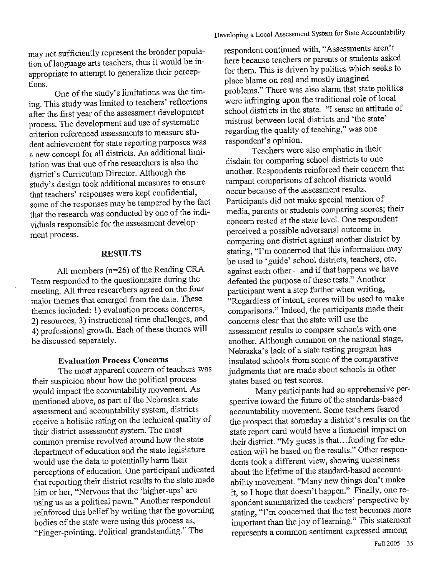may not sufficiently represent the broader population of language arts teachers, thus it would be inappropriate to attempt to generalize their perceptions.

One of the study's limitations was the timing. This study was limited to teachers' reflections after the first year of the assessment development process. The development and use of systematic criterion referenced assessments to measure student achievement for state reporting purposes was a new concept for all districts. An additional limitation was that one of the researchers is also the district's Curriculum Director. Although the study's design took additional measures to ensure that teachers' responses were kept confidential, some of the responses may be tempered by the fact that the research was conducted by one of the individuals responsible for the assessment development process.

### **RESULTS**

All members (n=26) of the Reading CRA Team responded to the questionnaire during the meeting. All three researchers agreed on the four major themes that emerged from the data. These themes included: 1) evaluation process concerns, 2) resources, 3) instructional time challenges, and 4) professional growth. Each of these themes will be discussed separately.

### **Evaluation Process Concerns**

The most apparent concern of teachers was their suspicion about how the political process would impact the accountability movement. As mentioned above, as part of the Nebraska state assessment and accountability system, districts receive a holistic rating on the technical quality of their district assessment system. The most common premise revolved around how the state department of education and the state legislature would use the data to potentially harm their perceptions of education. One participant indicated that reporting their district results to the state made him or her, "Nervous that the 'higher-ups' are using us as a political pawn." Another respondent reinforced this belief by writing that the governing bodies of the state were using this process as, "Finger-pointing. Political grandstanding." The

respondent continued with, "Assessments aren't here because teachers or parents or students asked for them. This is driven by politics which seeks to place blame on real and mostly imagined problems." There was also alarm that state politics were infringing upon the traditional role of local school districts in the state. "I sense an attitude of mistrust between local districts and 'the state' regarding the quality of teaching," was one respondent's opinion.

Teachers were also emphatic in their disdain for comparing school districts to one another. Respondents reinforced their concern that rampant comparisons of school districts would occur because of the assessment results. Participants did not make special mention of media, parents or students comparing scores; their concern rested at the state level. One respondent perceived a possible adversarial outcome in comparing one district against another district by stating, "I'm concerned that this information may be used to 'guide' school districts, teachers, etc. against each other - and if that happens we have defeated the purpose of these tests." Another participant went a step further when writing, "Regardless of intent, scores will be used to make comparisons." Indeed, the participants made their concerns clear that the state will use the assessment results to compare schools with one another. Although common on the national stage, Nebraska's lack of a state testing program has insulated schools from some of the comparative judgments that are made about schools in other states based on test scores.

Many participants had an apprehensive perspective toward the future of the standards-based accountability movement. Some teachers feared the prospect that someday a district's results on the state report card would have a financial impact on their district. "My guess is that...funding for education will be based on the results." Other respondents took a different view, showing uneasiness about the lifetime of the standard-based accountability movement. "Many new things don't make it, so I hope that doesn't happen." Finally, one respondent summarized the teachers' perspective by stating, "I'm concerned that the test becomes more important than the joy of learning." This statement represents a common sentiment expressed among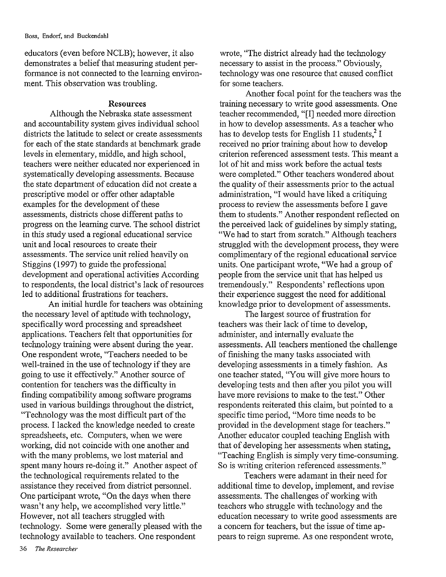educators (even before NCLB); however, it also demonstrates a belief that measuring student performance is not connected to the learning environment. This observation was troubling.

#### **Resources**

Although the Nebraska state assessment and accountability system gives individual school districts the latitude to select or create assessments for each of the state standards at benchmark grade levels in elementary, middle, and high school, teachers were neither educated nor experienced in systematically developing assessments. Because the state department of education did not create a prescriptive model or offer other adaptable examples for the development of these assessments, districts chose different paths to progress on the learning curve. The school district in this study used a regional educational service unit and local resources to create their assessments. The service unit relied heavily on Stiggins (1997) to guide the professional development and operational activities According to respondents, the local district's lack of resources led to additional frustrations for teachers.

An initial hurdle for teachers was obtaining the necessary level of aptitude with technology, specifically word processing and spreadsheet applications. Teachers felt that opportunities for technology training were absent during the year. One respondent wrote, "Teachers needed to be well-trained in the use of technology if they are going to use it effectively." Another source of contention for teachers was the difficulty in finding compatibility among software programs used in various buildings throughout the district, "Technology was the most difficult part of the process. I lacked the knowledge needed to create spreadsheets, etc. Computers, when we were working, did not coincide with one another and with the many problems, we lost material and spent many hours re-doing it." Another aspect of the technological requirements related to the assistance they received from district personnel. One participant wrote, "On the days when there wasn't any help, we accomplished very little." However, not all teachers struggled with technology. Some were generally pleased with the technology available to teachers. One respondent

wrote, "The district already had the technology necessary to assist in the process." Obviously, technology was one resource that caused conflict for some teachers.

Another focal point for the teachers was the training necessary to write good assessments. One teacher recommended, "[I] needed more direction in how to develop assessments. As a teacher who has to develop tests for English 11 students,<sup>2</sup> I received no prior training about how to develop criterion referenced assessment tests. This meant a lot of hit and miss work before the actual tests were completed." Other teachers wondered about the quality of their assessments prior to the actual administration, "I would have liked a critiquing process to review the assessments before I gave them to students." Another respondent reflected on the perceived lack of guidelines by simply stating, "We had to start from scratch." Although teachers struggled with the development process, they were complimentary of the regional educational service units. One participant wrote, "We had a group of people from the service unit that has helped us tremendously." Respondents' reflections upon their experience suggest the need for additional knowledge prior to development of assessments.

The largest source of frustration for teachers was their lack of time to develop, administer, and internally evaluate the assessments. All teachers mentioned the challenge of finishing the many tasks associated with developing assessments in a timely fashion. As one teacher stated, "You will give more hours to developing tests and then after you pilot you will have more revisions to make to the test." Other respondents reiterated this claim, but pointed to a specific time period, "More time needs to be provided in the development stage for teachers." Another educator coupled teaching English with that of developing her assessments when stating, "Teaching English is simply very time-consuming. So is writing criterion referenced assessments."

Teachers were adamant in their need for additional time to develop, implement, and revise assessments. The challenges of working with teachers who struggle with technology and the education necessary to write good assessments are a concern for teachers, but the issue of time appears to reign supreme. As one respondent wrote,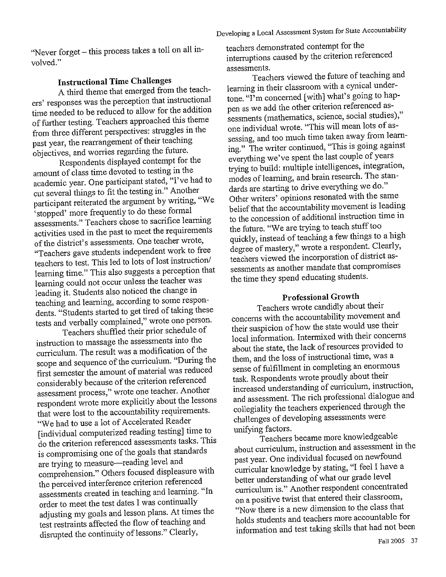"Never forget - this process takes a toll on all involved."

# **Instructional Time Challenges**

A third theme that emerged from the teachers' responses was the perception that instructional time needed to be reduced to allow for the addition of further testing. Teachers approached this theme from three different perspectives: struggles in the past year, the rearrangement of their teaching objectives, and worries regarding the future.

Respondents displayed contempt for the amount of class time devoted to testing in the academic year. One participant stated, "I've had to cut several things to fit the testing in." Another participant reiterated the argument by writing, "We stopped' more frequently to do these formal assessments." Teachers chose to sacrifice learning activities used in the past to meet the requirements of the district's assessments. One teacher wrote, "Teachers gave students independent work to free teachers to test. This led to lots of lost instruction/ learning time." This also suggests a perception that learning could not occur unless the teacher was leading it. Students also noticed the change in teaching and learning, according to some respondents. "Students started to get tired of taking these tests and verbally complained," wrote one person.

Teachers shuffled their prior schedule of instruction to massage the assessments into the curriculum. The result was a modification of the scope and sequence of the curriculum. "During the first semester the amount of material was reduced considerably because of the criterion referenced assessment process," wrote one teacher. Another respondent wrote more explicitly about the lessons that were lost to the accountability requirements. "We had to use a lot of Accelerated Reader [individual computerized reading testing] time to do the criterion referenced assessments tasks. This is compromising one of the goals that standards are trying to measure—reading level and comprehension." Others focused displeasure with the perceived interference criterion referenced assessments created in teaching and learning. "In order to meet the test dates I was continually adjusting my goals and lesson plans. At times the test restraints affected the flow of teaching and disrupted the continuity of lessons." Clearly,

teachers demonstrated contempt for the interruptions caused by the criterion referenced assessments.

Teachers viewed the future of teaching and learning in their classroom with a cynical undertone. "I'm concerned [with] what's going to happen as we add the other criterion referenced assessments (mathematics, science, social studies)," one individual wrote. "This will mean lots of assessing, and too much time taken away from learning." The writer continued, "This is going against everything we've spent the last couple of years trying to build: multiple intelligences, integration, modes of learning, and brain research. The standards are starting to drive everything we do." Other writers' opinions resonated with the same belief that the accountability movement is leading to the concession of additional instruction time in the future. "We are trying to teach stuff too quickly, instead of teaching a few things to a high degree of mastery," wrote a respondent. Clearly, teachers viewed the incorporation of district assessments as another mandate that compromises the time they spend educating students.

### **Professional Growth**

Teachers wrote candidly about their concerns with the accountability movement and their suspicion of how the state would use their local information. Intermixed with their concerns about the state, the lack of resources provided to them, and the loss of instructional time, was a sense of fulfillment in completing an enormous task. Respondents wrote proudly about their increased understanding of curriculum, instruction, and assessment. The rich professional dialogue and collegiality the teachers experienced through the challenges of developing assessments were unifying factors.

Teachers became more knowledgeable about curriculum, instruction and assessment in the past year. One individual focused on newfound curricular knowledge by stating, "I feel I have a better understanding of what our grade level curriculum is." Another respondent concentrated on a positive twist that entered their classroom, "Now there is a new dimension to the class that holds students and teachers more accountable for information and test taking skills that had not been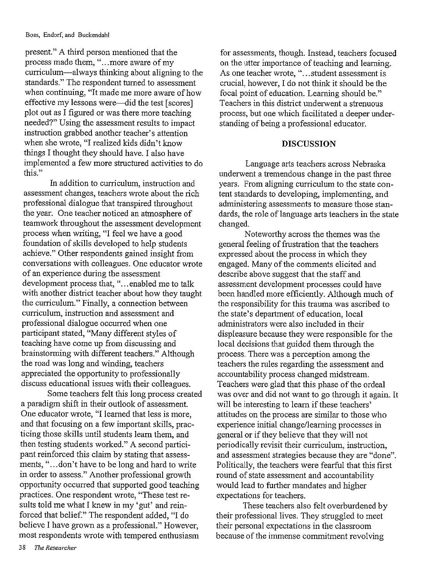#### Boss, Endorf, and Buckendahl

present." A third person mentioned that the process made them, "...more aware of my curriculum—always thinking about aligning to the standards." The respondent turned to assessment when continuing, "It made me more aware of how effective my lessons were—did the test [scores] plot out as I figured or was there more teaching needed?" Using the assessment results to impact instruction grabbed another teacher's attention when she wrote, "I realized kids didn't know things I thought they should have. I also have implemented a few more structured activities to do this."

In addition to curriculum, instruction and assessment changes, teachers wrote about the rich professional dialogue that transpired throughout the year. One teacher noticed an atmosphere of teamwork throughout the assessment development process when writing, "I feel we have a good foundation of skills developed to help students achieve." Other respondents gained insight from conversations with colleagues. One educator wrote of an experience during the assessment development process that, "...enabled me to talk with another district teacher about how they taught the curriculum." Finally, a connection between curriculum, instruction and assessment and professional dialogue occurred when one participant stated, "Many different styles of teaching have come up from discussing and brainstorming with different teachers." Although the road was long and winding, teachers appreciated the opportunity to professionally discuss educational issues with their colleagues.

Some teachers felt this long process created a paradigm shift in their outlook of assessment. One educator wrote, "I learned that less is more, and that focusing on a few important skills, practicing those skills until students learn them, and then testing students worked." A second participant reinforced this claim by stating that assessments, "...don't have to be long and hard to write in order to assess." Another professional growth opportunity occurred that supported good teaching practices. One respondent wrote, "These test results told me what I knew in my 'gut' and reinforced that belief." The respondent added, "I do believe I have grown as a professional." However, most respondents wrote with tempered enthusiasm

for assessments, though. Instead, teachers focused on the utter importance of teaching and learning. As one teacher wrote, "...student assessment is crucial, however, I do not think it should be the focal point of education. Learning should be." Teachers in this district underwent a strenuous process, but one which facilitated a deeper understanding of being a professional educator.

### **DISCUSSION**

Language arts teachers across Nebraska underwent a tremendous change in the past three years. From aligning curriculum to the state content standards to developing, implementing, and administering assessments to measure those standards, the role of language arts teachers in the state changed.

Noteworthy across the themes was the general feeling of frustration that the teachers expressed about the process in which they engaged. Many of the comments elicited and describe above suggest that the staff and assessment development processes could have been handled more efficiently. Although much of the responsibility for this trauma was ascribed to the state's department of education, local administrators were also included in their displeasure because they were responsible for the local decisions that guided them through the process. There was a perception among the teachers the rules regarding the assessment and accountability process changed midstream. Teachers were glad that this phase of the ordeal was over and did not want to go through it again. It will be interesting to learn if these teachers' attitudes on the process are similar to those who experience initial change/learning processes in general or if they believe that they will not periodically revisit their curriculum, instruction, and assessment strategies because they are "done". Politically, the teachers were fearful that this first round of state assessment and accountability would lead to further mandates and higher expectations for teachers.

These teachers also felt overburdened by their professional lives. They struggled to meet their personal expectations in the classroom because of the immense commitment revolving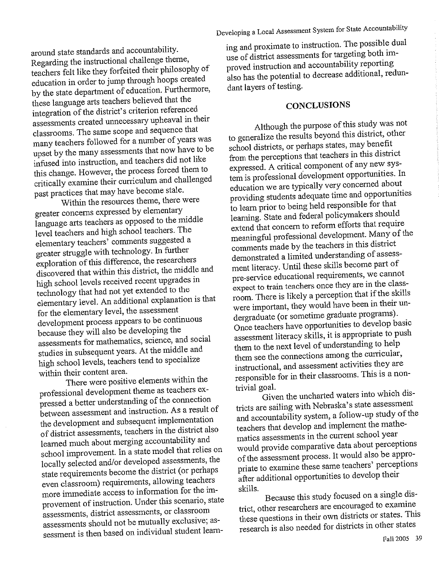around state standards and accountability. Regarding the instructional challenge theme, teachers felt like they forfeited their philosophy of education in order to jump through hoops created by the state department of education. Furthermore, these language arts teachers believed that the integration of the district's criterion referenced assessments created unnecessary upheaval in their classrooms. The same scope and sequence that many teachers followed for a number of years was upset by the many assessments that now have to be infused into instruction, and teachers did not like this change. However, the process forced them to critically examine their curriculum and challenged past practices that may have become stale.

Within the resources theme, there were greater concerns expressed by elementary language arts teachers as opposed to the middle level teachers and high school teachers. The elementary teachers' comments suggested a greater struggle with technology. In further exploration of this difference, the researchers discovered that within this district, the middle and high school levels received recent upgrades in technology that had not yet extended to the elementary level. An additional explanation is that for the elementary level, the assessment development process appears to be continuous because they will also be developing the assessments for mathematics, science, and social studies in subsequent years. At the middle and high school levels, teachers tend to specialize within their content area.

There were positive elements within the professional development theme as teachers expressed a better understanding of the connection between assessment and instruction. As a result of the development and subsequent implementation of district assessments, teachers in the district also learned much about merging accountability and school improvement. In a state model that relies on locally selected and/or developed assessments, the state requirements become the district (or perhaps even classroom) requirements, allowing teachers more immediate access to information for the improvement of instruction. Under this scenario, state assessments, district assessments, or classroom assessments should not be mutually exclusive; assessment is then based on individual student learn-

ing and proximate to instruction. The possible dual use of district assessments for targeting both improved instruction and accountability reporting also has the potential to decrease additional, redundant layers of testing.

## **CONCLUSIONS**

Although the purpose of this study was not to generalize the results beyond this district, other school districts, or perhaps states, may benefit from the perceptions that teachers in this district expressed. A critical component of any new system is professional development opportunities. In education we are typically very concerned about providing students adequate time and opportunities to learn prior to being held responsible for that learning. State and federal policymakers should extend that concern to reform efforts that require meaningful professional development. Many of the comments made by the teachers in this district demonstrated a limited understanding of assessment literacy. Until these skills become part of pre-service educational requirements, we cannot expect to train teachers once they are in the classroom. There is likely a perception that if the skills were important, they would have been in their undergraduate (or sometime graduate programs). Once teachers have opportunities to develop basic assessment literacy skills, it is appropriate to push them to the next level of understanding to help them see the connections among the curricular, instructional, and assessment activities they are responsible for in their classrooms. This is a nontrivial goal.

Given the uncharted waters into which districts are sailing with Nebraska's state assessment and accountability system, a follow-up study of the teachers that develop and implement the mathematics assessments in the current school year would provide comparative data about perceptions of the assessment process. It would also be appropriate to examine these same teachers' perceptions after additional opportunities to develop their skills.

Because this study focused on a single district, other researchers are encouraged to examine these questions in their own districts or states. This research is also needed for districts in other states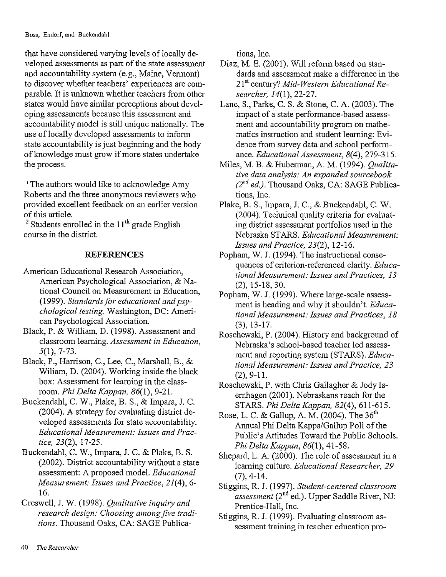that have considered varying levels of locally developed assessments as part of the state assessment and accountability system (e.g., Maine, Vermont) to discover whether teachers' experiences are comparable. It is unknown whether teachers from other states would have similar perceptions about developing assessments because this assessment and accountability model is still unique nationally. The use of locally developed assessments to inform state accountability is just beginning and the body of knowledge must grow if more states undertake the process.

<sup>1</sup> The authors would like to acknowledge Amy Roberts and the three anonymous reviewers who provided excellent feedback on an earlier version of this article.

<sup>2</sup> Students enrolled in the  $11<sup>th</sup>$  grade English course in the district.

### **REFERENCES**

- American Educational Research Association, American Psychological Association, & National Council on Measurement in Education, (1999). Standards for educational and psychological testing. Washington, DC: American Psychological Association.
- Black, P. & William, D. (1998). Assessment and classroom learning. Assessment in Education,  $5(1), 7-73.$
- Black, P., Harrison, C., Lee, C., Marshall, B., & Wiliam, D. (2004). Working inside the black box: Assessment for learning in the classroom. Phi Delta Kappan, 86(1), 9-21.
- Buckendahl, C. W., Plake, B. S., & Impara, J. C. (2004). A strategy for evaluating district developed assessments for state accountability. Educational Measurement: Issues and Practice, 23(2), 17-25.
- Buckendahl, C. W., Impara, J. C. & Plake, B. S. (2002). District accountability without a state assessment: A proposed model. Educational Measurement: Issues and Practice, 21(4), 6-16.
- Creswell, J. W. (1998). Qualitative inquiry and research design: Choosing among five traditions. Thousand Oaks, CA: SAGE Publica-

tions, Inc.

- Diaz, M. E. (2001). Will reform based on standards and assessment make a difference in the 21<sup>st</sup> century? Mid-Western Educational Researcher, 14(1), 22-27.
- Lane, S., Parke, C. S. & Stone, C. A. (2003). The impact of a state performance-based assessment and accountability program on mathematics instruction and student learning: Evidence from survey data and school performance. Educational Assessment, 8(4), 279-315.
- Miles, M. B. & Huberman, A. M. (1994). Qualitative data analysis: An expanded sourcebook  $(2^{nd}$  ed.). Thousand Oaks, CA: SAGE Publications, Inc.
- Plake, B. S., Impara, J. C., & Buckendahl, C. W. (2004). Technical quality criteria for evaluating district assessment portfolios used in the Nebraska STARS. Educational Measurement: Issues and Practice, 23(2), 12-16.
- Popham, W. J. (1994). The instructional consequences of criterion-referenced clarity. Educational Measurement: Issues and Practices, 13  $(2)$ , 15-18, 30.
- Popham, W. J. (1999). Where large-scale assessment is heading and why it shouldn't. Educational Measurement: Issues and Practices, 18  $(3), 13-17.$
- Roschewski, P. (2004). History and background of Nebraska's school-based teacher led assessment and reporting system (STARS). Educational Measurement: Issues and Practice, 23  $(2), 9-11.$
- Roschewski, P. with Chris Gallagher & Jody Isernhagen (2001). Nebraskans reach for the STARS. Phi Delta Kappan, 82(4), 611-615.
- Rose, L. C. & Gallup, A. M. (2004). The 36<sup>th</sup> Annual Phi Delta Kappa/Gallup Poll of the Public's Attitudes Toward the Public Schools. Phi Delta Kappan, 86(1), 41-58.
- Shepard, L. A. (2000). The role of assessment in a learning culture. Educational Researcher, 29  $(7), 4-14.$
- Stiggins, R. J. (1997). Student-centered classroom assessment (2<sup>nd</sup> ed.). Upper Saddle River, NJ: Prentice-Hall, Inc.
- Stiggins, R. J. (1999). Evaluating classroom assessment training in teacher education pro-